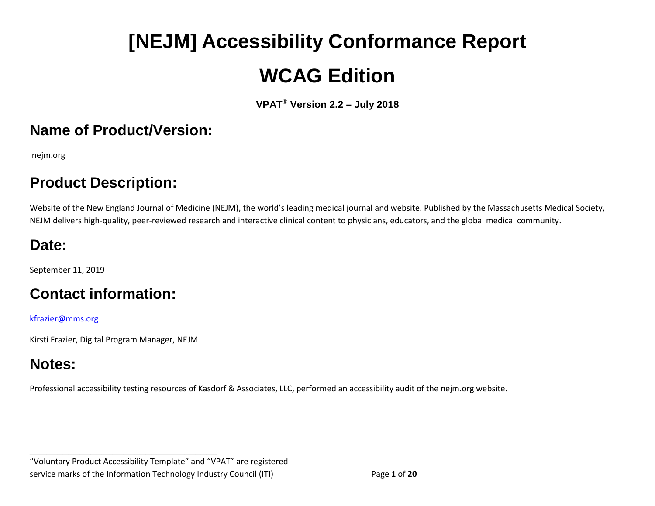# **[NEJM] Accessibility Conformance Report WCAG Edition**

**VPAT**® **Version 2.2 – July 2018**

#### **Name of Product/Version:**

nejm.org

## **Product Description:**

Website of the New England Journal of Medicine (NEJM), the world's leading medical journal and website. Published by the Massachusetts Medical Society, NEJM delivers high-quality, peer-reviewed research and interactive clinical content to physicians, educators, and the global medical community.

## **Date:**

September 11, 2019

# **Contact information:**

[kfrazier@mms.org](mailto:kfrazier@mms.org)

Kirsti Frazier, Digital Program Manager, NEJM

## **Notes:**

Professional accessibility testing resources of Kasdorf & Associates, LLC, performed an accessibility audit of the nejm.org website.

**\_\_\_\_\_\_\_\_\_\_\_\_\_\_\_\_\_\_\_\_\_\_\_\_\_\_\_\_\_\_\_\_\_\_** "Voluntary Product Accessibility Template" and "VPAT" are registered service marks of the Information Technology Industry Council (ITI) Page **1** of **20**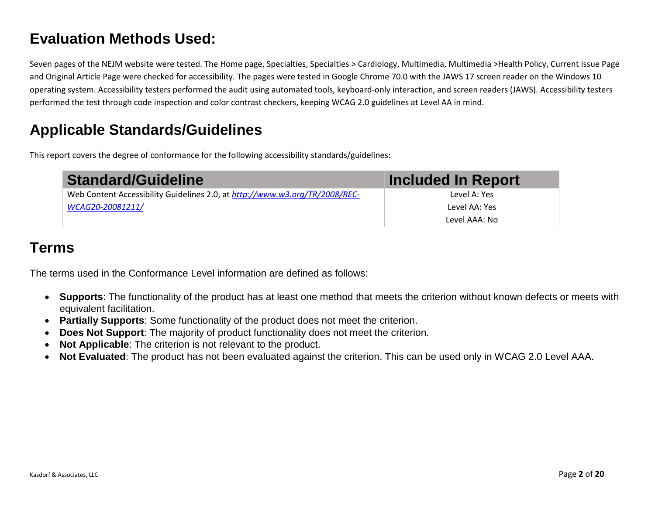#### **Evaluation Methods Used:**

Seven pages of the NEJM website were tested. The Home page, Specialties, Specialties > Cardiology, Multimedia, Multimedia >Health Policy, Current Issue Page and Original Article Page were checked for accessibility. The pages were tested in Google Chrome 70.0 with the JAWS 17 screen reader on the Windows 10 operating system. Accessibility testers performed the audit using automated tools, keyboard-only interaction, and screen readers (JAWS). Accessibility testers performed the test through code inspection and color contrast checkers, keeping WCAG 2.0 guidelines at Level AA in mind.

### **Applicable Standards/Guidelines**

This report covers the degree of conformance for the following accessibility standards/guidelines:

| <b>Standard/Guideline</b>                                                   | Included In Report |
|-----------------------------------------------------------------------------|--------------------|
| Web Content Accessibility Guidelines 2.0, at http://www.w3.org/TR/2008/REC- | Level A: Yes       |
| WCAG20-20081211/                                                            | Level AA: Yes      |
|                                                                             | Level AAA: No      |

#### **Terms**

The terms used in the Conformance Level information are defined as follows:

- **Supports**: The functionality of the product has at least one method that meets the criterion without known defects or meets with equivalent facilitation.
- **Partially Supports**: Some functionality of the product does not meet the criterion.
- **Does Not Support**: The majority of product functionality does not meet the criterion.
- **Not Applicable**: The criterion is not relevant to the product.
- **Not Evaluated**: The product has not been evaluated against the criterion. This can be used only in WCAG 2.0 Level AAA.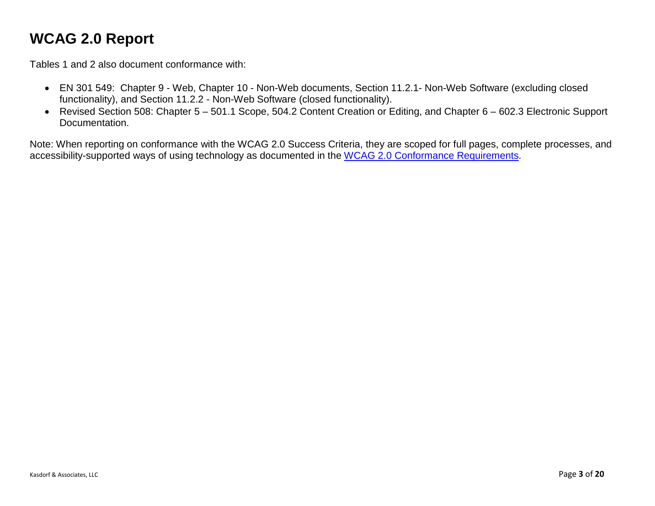### **WCAG 2.0 Report**

Tables 1 and 2 also document conformance with:

- EN 301 549: Chapter 9 Web, Chapter 10 Non-Web documents, Section 11.2.1- Non-Web Software (excluding closed functionality), and Section 11.2.2 - Non-Web Software (closed functionality).
- Revised Section 508: Chapter 5 501.1 Scope, 504.2 Content Creation or Editing, and Chapter 6 602.3 Electronic Support Documentation.

Note: When reporting on conformance with the WCAG 2.0 Success Criteria, they are scoped for full pages, complete processes, and accessibility-supported ways of using technology as documented in the [WCAG 2.0 Conformance Requirements.](https://www.w3.org/TR/WCAG20/#conformance-reqs)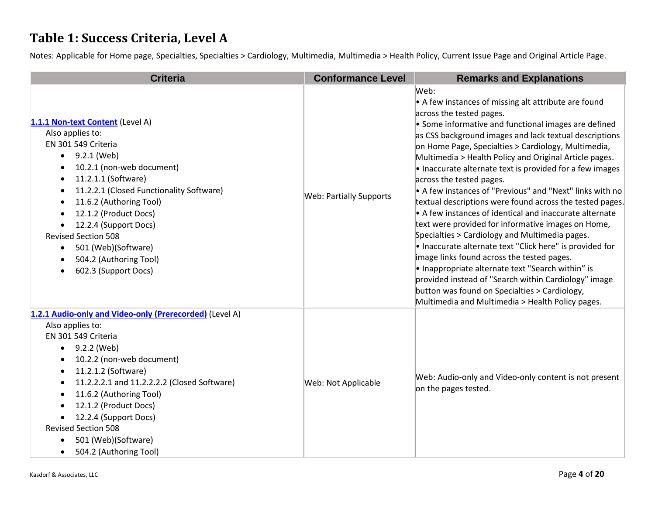#### **Table 1: Success Criteria, Level A**

Notes: Applicable for Home page, Specialties, Specialties > Cardiology, Multimedia, Multimedia > Health Policy, Current Issue Page and Original Article Page.

| <b>Criteria</b>                                                                                                                                                                                                                                                                                                                                                                                                              | <b>Conformance Level</b>       | <b>Remarks and Explanations</b>                                                                                                                                                                                                                                                                                                                                                                                                                                                                                                                                                                                                                                                                                                                                                                                                                                                                                                                                                                                                                                    |
|------------------------------------------------------------------------------------------------------------------------------------------------------------------------------------------------------------------------------------------------------------------------------------------------------------------------------------------------------------------------------------------------------------------------------|--------------------------------|--------------------------------------------------------------------------------------------------------------------------------------------------------------------------------------------------------------------------------------------------------------------------------------------------------------------------------------------------------------------------------------------------------------------------------------------------------------------------------------------------------------------------------------------------------------------------------------------------------------------------------------------------------------------------------------------------------------------------------------------------------------------------------------------------------------------------------------------------------------------------------------------------------------------------------------------------------------------------------------------------------------------------------------------------------------------|
| 1.1.1 Non-text Content (Level A)<br>Also applies to:<br>EN 301 549 Criteria<br>9.2.1 (Web)<br>$\bullet$<br>10.2.1 (non-web document)<br>11.2.1.1 (Software)<br>11.2.2.1 (Closed Functionality Software)<br>11.6.2 (Authoring Tool)<br>$\bullet$<br>12.1.2 (Product Docs)<br>12.2.4 (Support Docs)<br><b>Revised Section 508</b><br>501 (Web)(Software)<br>٠<br>504.2 (Authoring Tool)<br>602.3 (Support Docs)                | <b>Web: Partially Supports</b> | Web:<br>$\bullet$ A few instances of missing alt attribute are found<br>across the tested pages.<br>$\bullet$ Some informative and functional images are defined<br>as CSS background images and lack textual descriptions<br>on Home Page, Specialties > Cardiology, Multimedia,<br>Multimedia > Health Policy and Original Article pages.<br>$\bullet$ Inaccurate alternate text is provided for a few images<br>across the tested pages.<br>• A few instances of "Previous" and "Next" links with no<br>textual descriptions were found across the tested pages.<br>• A few instances of identical and inaccurate alternate<br>text were provided for informative images on Home,<br>Specialties > Cardiology and Multimedia pages.<br>• Inaccurate alternate text "Click here" is provided for<br>image links found across the tested pages.<br>• Inappropriate alternate text "Search within" is<br>provided instead of "Search within Cardiology" image<br>button was found on Specialties > Cardiology,<br>Multimedia and Multimedia > Health Policy pages. |
| 1.2.1 Audio-only and Video-only (Prerecorded) (Level A)<br>Also applies to:<br>EN 301 549 Criteria<br>9.2.2 (Web)<br>$\bullet$<br>10.2.2 (non-web document)<br>11.2.1.2 (Software)<br>11.2.2.2.1 and 11.2.2.2.2 (Closed Software)<br>٠<br>11.6.2 (Authoring Tool)<br>12.1.2 (Product Docs)<br>12.2.4 (Support Docs)<br><b>Revised Section 508</b><br>501 (Web)(Software)<br>$\bullet$<br>504.2 (Authoring Tool)<br>$\bullet$ | Web: Not Applicable            | Web: Audio-only and Video-only content is not present<br>on the pages tested.                                                                                                                                                                                                                                                                                                                                                                                                                                                                                                                                                                                                                                                                                                                                                                                                                                                                                                                                                                                      |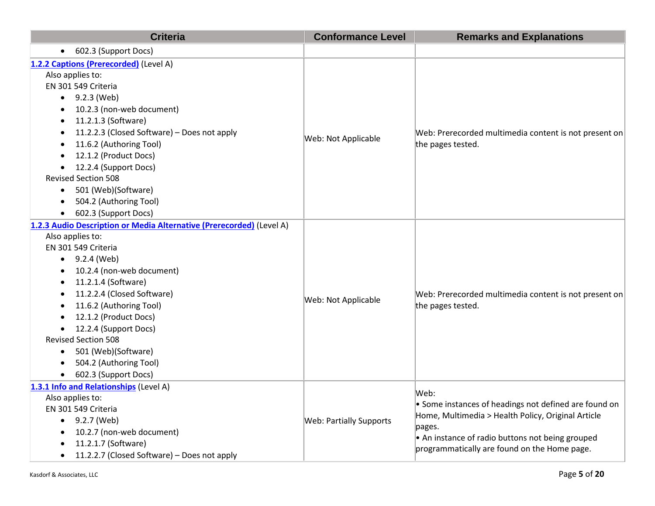| <b>Criteria</b>                                                                                                                                                                                                                                                                                                                                                                                                   | <b>Conformance Level</b>       | <b>Remarks and Explanations</b>                                                                                                                                                                                                   |
|-------------------------------------------------------------------------------------------------------------------------------------------------------------------------------------------------------------------------------------------------------------------------------------------------------------------------------------------------------------------------------------------------------------------|--------------------------------|-----------------------------------------------------------------------------------------------------------------------------------------------------------------------------------------------------------------------------------|
| • 602.3 (Support Docs)                                                                                                                                                                                                                                                                                                                                                                                            |                                |                                                                                                                                                                                                                                   |
| 1.2.2 Captions (Prerecorded) (Level A)<br>Also applies to:<br>EN 301 549 Criteria<br>9.2.3 (Web)<br>10.2.3 (non-web document)<br>11.2.1.3 (Software)<br>11.2.2.3 (Closed Software) - Does not apply<br>11.6.2 (Authoring Tool)<br>12.1.2 (Product Docs)<br>12.2.4 (Support Docs)<br><b>Revised Section 508</b><br>501 (Web)(Software)<br>$\bullet$<br>504.2 (Authoring Tool)<br>602.3 (Support Docs)              | Web: Not Applicable            | Web: Prerecorded multimedia content is not present on<br>the pages tested.                                                                                                                                                        |
| 1.2.3 Audio Description or Media Alternative (Prerecorded) (Level A)<br>Also applies to:<br>EN 301 549 Criteria<br>9.2.4 (Web)<br>10.2.4 (non-web document)<br>11.2.1.4 (Software)<br>11.2.2.4 (Closed Software)<br>11.6.2 (Authoring Tool)<br>12.1.2 (Product Docs)<br>12.2.4 (Support Docs)<br><b>Revised Section 508</b><br>501 (Web)(Software)<br>$\bullet$<br>504.2 (Authoring Tool)<br>602.3 (Support Docs) | Web: Not Applicable            | Web: Prerecorded multimedia content is not present on<br>the pages tested.                                                                                                                                                        |
| 1.3.1 Info and Relationships (Level A)<br>Also applies to:<br>EN 301 549 Criteria<br>9.2.7 (Web)<br>10.2.7 (non-web document)<br>11.2.1.7 (Software)<br>11.2.2.7 (Closed Software) - Does not apply                                                                                                                                                                                                               | <b>Web: Partially Supports</b> | Web:<br>• Some instances of headings not defined are found on<br>Home, Multimedia > Health Policy, Original Article<br>pages.<br>• An instance of radio buttons not being grouped<br>programmatically are found on the Home page. |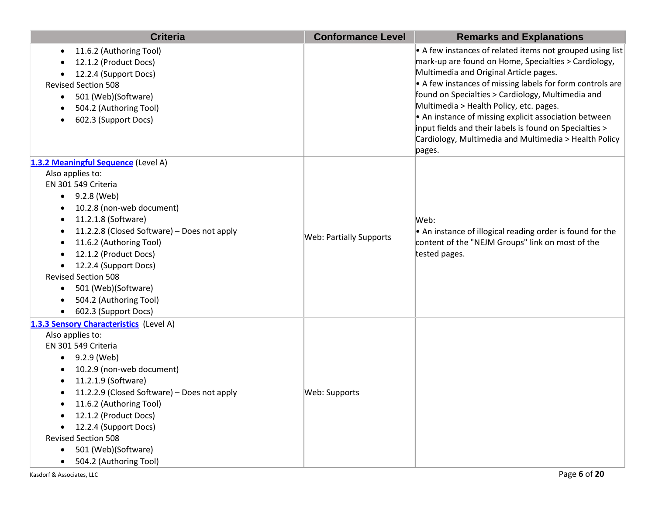| <b>Criteria</b>                                                                                                                                                                                                                                                                                                                                                                      | <b>Conformance Level</b>       | <b>Remarks and Explanations</b>                                                                                                                                                                                                                                                                                                                                                                                                                                                                                         |
|--------------------------------------------------------------------------------------------------------------------------------------------------------------------------------------------------------------------------------------------------------------------------------------------------------------------------------------------------------------------------------------|--------------------------------|-------------------------------------------------------------------------------------------------------------------------------------------------------------------------------------------------------------------------------------------------------------------------------------------------------------------------------------------------------------------------------------------------------------------------------------------------------------------------------------------------------------------------|
| 11.6.2 (Authoring Tool)<br>$\bullet$<br>12.1.2 (Product Docs)<br>12.2.4 (Support Docs)<br><b>Revised Section 508</b><br>501 (Web)(Software)<br>$\bullet$<br>504.2 (Authoring Tool)<br>602.3 (Support Docs)                                                                                                                                                                           |                                | $\bullet$ A few instances of related items not grouped using list<br>mark-up are found on Home, Specialties > Cardiology,<br>Multimedia and Original Article pages.<br>• A few instances of missing labels for form controls are<br>found on Specialties > Cardiology, Multimedia and<br>Multimedia > Health Policy, etc. pages.<br>• An instance of missing explicit association between<br>input fields and their labels is found on Specialties ><br>Cardiology, Multimedia and Multimedia > Health Policy<br>pages. |
| 1.3.2 Meaningful Sequence (Level A)                                                                                                                                                                                                                                                                                                                                                  |                                |                                                                                                                                                                                                                                                                                                                                                                                                                                                                                                                         |
| Also applies to:<br>EN 301 549 Criteria<br>9.2.8 (Web)<br>$\bullet$<br>10.2.8 (non-web document)<br>11.2.1.8 (Software)<br>11.2.2.8 (Closed Software) - Does not apply<br>11.6.2 (Authoring Tool)<br>12.1.2 (Product Docs)<br>12.2.4 (Support Docs)<br>$\bullet$<br><b>Revised Section 508</b><br>501 (Web)(Software)<br>$\bullet$<br>504.2 (Authoring Tool)<br>602.3 (Support Docs) | <b>Web: Partially Supports</b> | Web:<br>• An instance of illogical reading order is found for the<br>content of the "NEJM Groups" link on most of the<br>tested pages.                                                                                                                                                                                                                                                                                                                                                                                  |
| 1.3.3 Sensory Characteristics (Level A)<br>Also applies to:<br>EN 301 549 Criteria<br>9.2.9 (Web)<br>10.2.9 (non-web document)<br>11.2.1.9 (Software)<br>11.2.2.9 (Closed Software) - Does not apply<br>٠<br>11.6.2 (Authoring Tool)<br>12.1.2 (Product Docs)<br>12.2.4 (Support Docs)<br><b>Revised Section 508</b><br>501 (Web)(Software)<br>504.2 (Authoring Tool)                | Web: Supports                  |                                                                                                                                                                                                                                                                                                                                                                                                                                                                                                                         |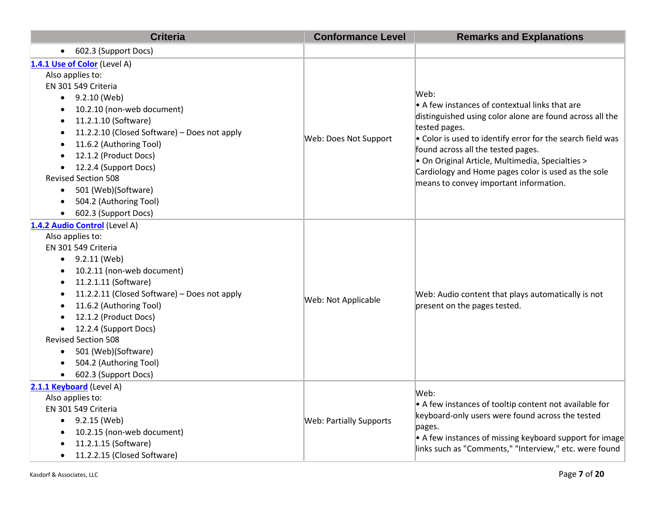| <b>Criteria</b>                                                                                                                                                                                                                                                                                                                                                                                                                                     | <b>Conformance Level</b>       | <b>Remarks and Explanations</b>                                                                                                                                                                                                                                                                                                                                                              |
|-----------------------------------------------------------------------------------------------------------------------------------------------------------------------------------------------------------------------------------------------------------------------------------------------------------------------------------------------------------------------------------------------------------------------------------------------------|--------------------------------|----------------------------------------------------------------------------------------------------------------------------------------------------------------------------------------------------------------------------------------------------------------------------------------------------------------------------------------------------------------------------------------------|
| 602.3 (Support Docs)<br>$\bullet$                                                                                                                                                                                                                                                                                                                                                                                                                   |                                |                                                                                                                                                                                                                                                                                                                                                                                              |
| 1.4.1 Use of Color (Level A)<br>Also applies to:<br>EN 301 549 Criteria<br>$\bullet$ 9.2.10 (Web)<br>10.2.10 (non-web document)<br>11.2.1.10 (Software)<br>11.2.2.10 (Closed Software) - Does not apply<br>11.6.2 (Authoring Tool)<br>12.1.2 (Product Docs)<br>12.2.4 (Support Docs)<br>$\bullet$<br><b>Revised Section 508</b><br>501 (Web)(Software)<br>$\bullet$<br>504.2 (Authoring Tool)<br>602.3 (Support Docs)                               | Web: Does Not Support          | Web:<br>• A few instances of contextual links that are<br>distinguished using color alone are found across all the<br>tested pages.<br>. Color is used to identify error for the search field was<br>found across all the tested pages.<br>· On Original Article, Multimedia, Specialties ><br>Cardiology and Home pages color is used as the sole<br>means to convey important information. |
| 1.4.2 Audio Control (Level A)<br>Also applies to:<br>EN 301 549 Criteria<br>9.2.11 (Web)<br>$\bullet$<br>10.2.11 (non-web document)<br>11.2.1.11 (Software)<br>11.2.2.11 (Closed Software) - Does not apply<br>11.6.2 (Authoring Tool)<br>12.1.2 (Product Docs)<br>12.2.4 (Support Docs)<br>$\bullet$<br><b>Revised Section 508</b><br>501 (Web)(Software)<br>$\bullet$<br>504.2 (Authoring Tool)<br>$\bullet$<br>602.3 (Support Docs)<br>$\bullet$ | Web: Not Applicable            | Web: Audio content that plays automatically is not<br>present on the pages tested.                                                                                                                                                                                                                                                                                                           |
| 2.1.1 Keyboard (Level A)<br>Also applies to:<br>EN 301 549 Criteria<br>9.2.15 (Web)<br>$\bullet$<br>10.2.15 (non-web document)<br>11.2.1.15 (Software)<br>11.2.2.15 (Closed Software)<br>$\bullet$                                                                                                                                                                                                                                                  | <b>Web: Partially Supports</b> | Web:<br>• A few instances of tooltip content not available for<br>keyboard-only users were found across the tested<br>pages.<br>• A few instances of missing keyboard support for image<br>links such as "Comments," "Interview," etc. were found                                                                                                                                            |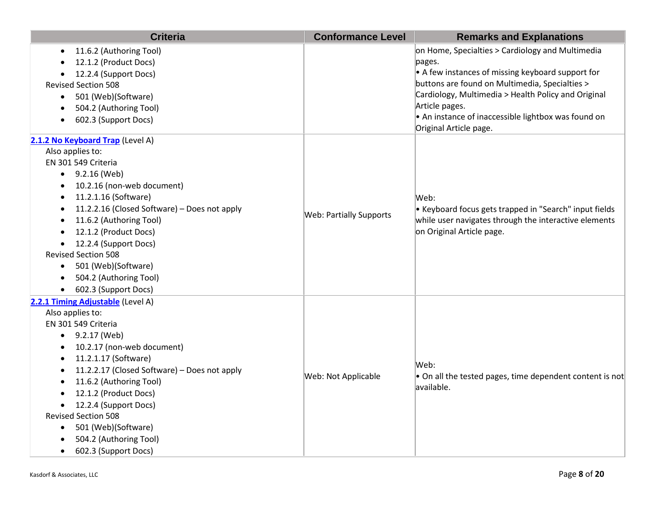| <b>Criteria</b>                                                                                                                                                                                                                                                                                                                                                                                                                                                                                              | <b>Conformance Level</b>       | <b>Remarks and Explanations</b>                                                                                                                                                                                                                                                                                                     |
|--------------------------------------------------------------------------------------------------------------------------------------------------------------------------------------------------------------------------------------------------------------------------------------------------------------------------------------------------------------------------------------------------------------------------------------------------------------------------------------------------------------|--------------------------------|-------------------------------------------------------------------------------------------------------------------------------------------------------------------------------------------------------------------------------------------------------------------------------------------------------------------------------------|
| 11.6.2 (Authoring Tool)<br>$\bullet$<br>12.1.2 (Product Docs)<br>12.2.4 (Support Docs)<br>$\bullet$<br><b>Revised Section 508</b><br>501 (Web)(Software)<br>$\bullet$<br>504.2 (Authoring Tool)<br>602.3 (Support Docs)                                                                                                                                                                                                                                                                                      |                                | on Home, Specialties > Cardiology and Multimedia<br>pages.<br>$\bullet$ A few instances of missing keyboard support for<br>buttons are found on Multimedia, Specialties ><br>Cardiology, Multimedia > Health Policy and Original<br>Article pages.<br>• An instance of inaccessible lightbox was found on<br>Original Article page. |
| 2.1.2 No Keyboard Trap (Level A)<br>Also applies to:<br>EN 301 549 Criteria<br>$\bullet$ 9.2.16 (Web)<br>10.2.16 (non-web document)<br>٠<br>11.2.1.16 (Software)<br>$\bullet$<br>11.2.2.16 (Closed Software) - Does not apply<br>$\bullet$<br>11.6.2 (Authoring Tool)<br>$\bullet$<br>12.1.2 (Product Docs)<br>$\bullet$<br>12.2.4 (Support Docs)<br>$\bullet$<br><b>Revised Section 508</b><br>501 (Web)(Software)<br>$\bullet$<br>504.2 (Authoring Tool)<br>$\bullet$<br>602.3 (Support Docs)<br>$\bullet$ | <b>Web: Partially Supports</b> | Web:<br>• Keyboard focus gets trapped in "Search" input fields<br>while user navigates through the interactive elements<br>on Original Article page.                                                                                                                                                                                |
| 2.2.1 Timing Adjustable (Level A)<br>Also applies to:<br>EN 301 549 Criteria<br>$\bullet$ 9.2.17 (Web)<br>10.2.17 (non-web document)<br>11.2.1.17 (Software)<br>٠<br>11.2.2.17 (Closed Software) - Does not apply<br>٠<br>11.6.2 (Authoring Tool)<br>12.1.2 (Product Docs)<br>12.2.4 (Support Docs)<br>$\bullet$<br><b>Revised Section 508</b><br>501 (Web)(Software)<br>$\bullet$<br>504.2 (Authoring Tool)<br>602.3 (Support Docs)                                                                         | Web: Not Applicable            | Web:<br>• On all the tested pages, time dependent content is not<br>available.                                                                                                                                                                                                                                                      |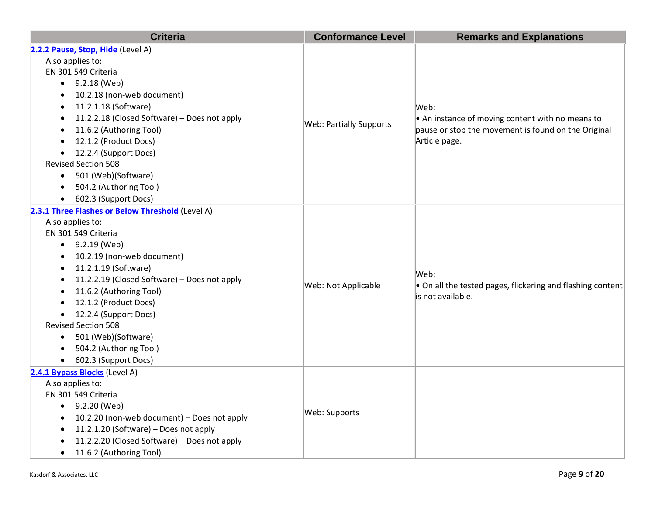| <b>Criteria</b>                                                                                                                                                                                                                                                                                                                                                                                                                                                                               | <b>Conformance Level</b>       | <b>Remarks and Explanations</b>                                                                                                  |
|-----------------------------------------------------------------------------------------------------------------------------------------------------------------------------------------------------------------------------------------------------------------------------------------------------------------------------------------------------------------------------------------------------------------------------------------------------------------------------------------------|--------------------------------|----------------------------------------------------------------------------------------------------------------------------------|
| 2.2.2 Pause, Stop, Hide (Level A)<br>Also applies to:<br>EN 301 549 Criteria<br>$\bullet$ 9.2.18 (Web)<br>10.2.18 (non-web document)<br>$\bullet$<br>11.2.1.18 (Software)<br>$\bullet$<br>11.2.2.18 (Closed Software) - Does not apply<br>$\bullet$<br>11.6.2 (Authoring Tool)<br>$\bullet$<br>12.1.2 (Product Docs)<br>$\bullet$                                                                                                                                                             | <b>Web: Partially Supports</b> | Web:<br>• An instance of moving content with no means to<br>pause or stop the movement is found on the Original<br>Article page. |
| 12.2.4 (Support Docs)<br>$\bullet$<br><b>Revised Section 508</b><br>501 (Web)(Software)<br>$\bullet$<br>504.2 (Authoring Tool)<br>$\bullet$<br>602.3 (Support Docs)<br>$\bullet$                                                                                                                                                                                                                                                                                                              |                                |                                                                                                                                  |
| 2.3.1 Three Flashes or Below Threshold (Level A)<br>Also applies to:<br>EN 301 549 Criteria<br>$\bullet$ 9.2.19 (Web)<br>10.2.19 (non-web document)<br>$\bullet$<br>11.2.1.19 (Software)<br>$\bullet$<br>11.2.2.19 (Closed Software) - Does not apply<br>$\bullet$<br>11.6.2 (Authoring Tool)<br>$\bullet$<br>12.1.2 (Product Docs)<br>12.2.4 (Support Docs)<br><b>Revised Section 508</b><br>501 (Web)(Software)<br>$\bullet$<br>504.2 (Authoring Tool)<br>$\bullet$<br>602.3 (Support Docs) | Web: Not Applicable            | Web:<br>• On all the tested pages, flickering and flashing content<br>is not available.                                          |
| 2.4.1 Bypass Blocks (Level A)<br>Also applies to:<br>EN 301 549 Criteria<br>9.2.20 (Web)<br>$\bullet$<br>10.2.20 (non-web document) - Does not apply<br>$\bullet$<br>11.2.1.20 (Software) - Does not apply<br>$\bullet$<br>11.2.2.20 (Closed Software) - Does not apply<br>11.6.2 (Authoring Tool)                                                                                                                                                                                            | Web: Supports                  |                                                                                                                                  |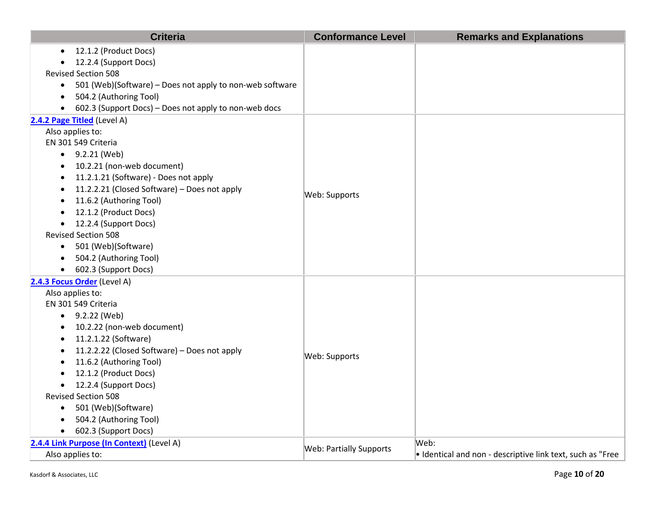| <b>Criteria</b>                                               | <b>Conformance Level</b>       | <b>Remarks and Explanations</b>                                    |
|---------------------------------------------------------------|--------------------------------|--------------------------------------------------------------------|
| 12.1.2 (Product Docs)<br>$\bullet$                            |                                |                                                                    |
| 12.2.4 (Support Docs)<br>$\bullet$                            |                                |                                                                    |
| <b>Revised Section 508</b>                                    |                                |                                                                    |
| • 501 (Web)(Software) – Does not apply to non-web software    |                                |                                                                    |
| 504.2 (Authoring Tool)<br>$\bullet$                           |                                |                                                                    |
| 602.3 (Support Docs) - Does not apply to non-web docs         |                                |                                                                    |
| 2.4.2 Page Titled (Level A)                                   |                                |                                                                    |
| Also applies to:                                              |                                |                                                                    |
| EN 301 549 Criteria                                           |                                |                                                                    |
| $\bullet$ 9.2.21 (Web)                                        |                                |                                                                    |
| 10.2.21 (non-web document)<br>$\bullet$                       |                                |                                                                    |
| 11.2.1.21 (Software) - Does not apply<br>$\bullet$            |                                |                                                                    |
| 11.2.2.21 (Closed Software) - Does not apply<br>$\bullet$     | Web: Supports                  |                                                                    |
| 11.6.2 (Authoring Tool)<br>$\bullet$                          |                                |                                                                    |
| 12.1.2 (Product Docs)<br>$\bullet$                            |                                |                                                                    |
| 12.2.4 (Support Docs)<br>$\bullet$                            |                                |                                                                    |
| <b>Revised Section 508</b>                                    |                                |                                                                    |
| • 501 (Web)(Software)                                         |                                |                                                                    |
| 504.2 (Authoring Tool)<br>$\bullet$                           |                                |                                                                    |
| 602.3 (Support Docs)                                          |                                |                                                                    |
| 2.4.3 Focus Order (Level A)                                   |                                |                                                                    |
| Also applies to:                                              |                                |                                                                    |
| EN 301 549 Criteria                                           |                                |                                                                    |
| $-9.2.22$ (Web)                                               |                                |                                                                    |
| 10.2.22 (non-web document)<br>$\bullet$                       |                                |                                                                    |
| 11.2.1.22 (Software)<br>$\bullet$                             |                                |                                                                    |
| 11.2.2.22 (Closed Software) - Does not apply<br>٠             | Web: Supports                  |                                                                    |
| 11.6.2 (Authoring Tool)<br>$\bullet$<br>12.1.2 (Product Docs) |                                |                                                                    |
| $\bullet$<br>12.2.4 (Support Docs)                            |                                |                                                                    |
| $\bullet$<br><b>Revised Section 508</b>                       |                                |                                                                    |
| 501 (Web)(Software)<br>$\bullet$                              |                                |                                                                    |
| 504.2 (Authoring Tool)<br>$\bullet$                           |                                |                                                                    |
| 602.3 (Support Docs)<br>$\bullet$                             |                                |                                                                    |
| 2.4.4 Link Purpose (In Context) (Level A)                     |                                | Web:                                                               |
| Also applies to:                                              | <b>Web: Partially Supports</b> | $\bullet$ Identical and non - descriptive link text, such as "Free |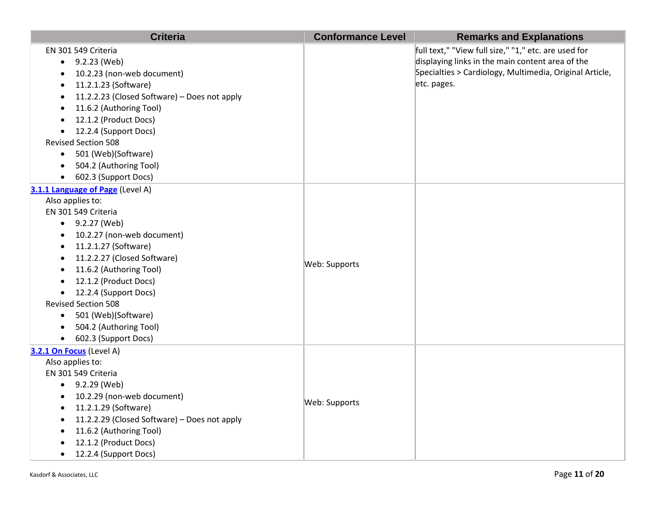| <b>Criteria</b>                                           | <b>Conformance Level</b> | <b>Remarks and Explanations</b>                         |
|-----------------------------------------------------------|--------------------------|---------------------------------------------------------|
| EN 301 549 Criteria                                       |                          | full text," "View full size," "1," etc. are used for    |
| $\bullet$ 9.2.23 (Web)                                    |                          | displaying links in the main content area of the        |
| 10.2.23 (non-web document)<br>$\bullet$                   |                          | Specialties > Cardiology, Multimedia, Original Article, |
| 11.2.1.23 (Software)<br>$\bullet$                         |                          | etc. pages.                                             |
| 11.2.2.23 (Closed Software) - Does not apply<br>$\bullet$ |                          |                                                         |
| 11.6.2 (Authoring Tool)<br>$\bullet$                      |                          |                                                         |
| 12.1.2 (Product Docs)<br>$\bullet$                        |                          |                                                         |
| • 12.2.4 (Support Docs)                                   |                          |                                                         |
| <b>Revised Section 508</b>                                |                          |                                                         |
| • 501 (Web)(Software)                                     |                          |                                                         |
| 504.2 (Authoring Tool)<br>$\bullet$                       |                          |                                                         |
| • 602.3 (Support Docs)                                    |                          |                                                         |
| 3.1.1 Language of Page (Level A)                          |                          |                                                         |
| Also applies to:                                          |                          |                                                         |
| EN 301 549 Criteria                                       |                          |                                                         |
| $-9.2.27$ (Web)                                           |                          |                                                         |
| 10.2.27 (non-web document)<br>$\bullet$                   |                          |                                                         |
| 11.2.1.27 (Software)<br>$\bullet$                         |                          |                                                         |
| 11.2.2.27 (Closed Software)<br>$\bullet$                  | Web: Supports            |                                                         |
| 11.6.2 (Authoring Tool)<br>$\bullet$                      |                          |                                                         |
| 12.1.2 (Product Docs)<br>$\bullet$                        |                          |                                                         |
| 12.2.4 (Support Docs)<br>$\bullet$                        |                          |                                                         |
| <b>Revised Section 508</b>                                |                          |                                                         |
| • 501 (Web)(Software)                                     |                          |                                                         |
| 504.2 (Authoring Tool)<br>$\bullet$                       |                          |                                                         |
| • 602.3 (Support Docs)                                    |                          |                                                         |
| 3.2.1 On Focus (Level A)                                  |                          |                                                         |
| Also applies to:                                          |                          |                                                         |
| EN 301 549 Criteria                                       |                          |                                                         |
| $\bullet$ 9.2.29 (Web)                                    |                          |                                                         |
| 10.2.29 (non-web document)<br>$\bullet$                   | Web: Supports            |                                                         |
| 11.2.1.29 (Software)<br>$\bullet$                         |                          |                                                         |
| 11.2.2.29 (Closed Software) - Does not apply<br>$\bullet$ |                          |                                                         |
| 11.6.2 (Authoring Tool)<br>$\bullet$                      |                          |                                                         |
| 12.1.2 (Product Docs)                                     |                          |                                                         |
| 12.2.4 (Support Docs)<br>$\bullet$                        |                          |                                                         |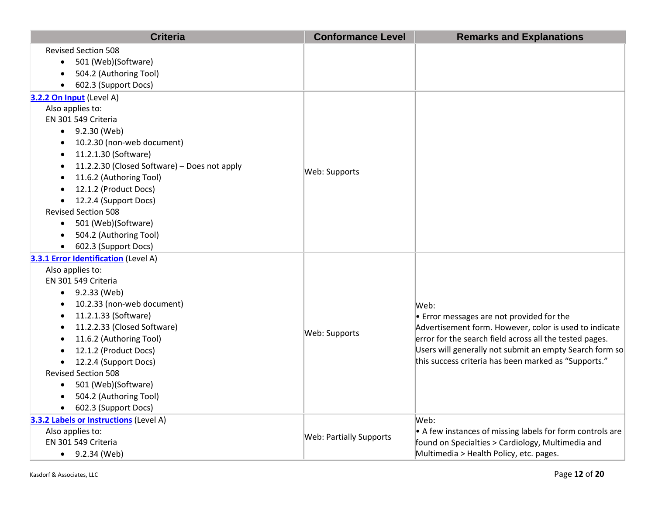| <b>Criteria</b>                                      | <b>Conformance Level</b>       | <b>Remarks and Explanations</b>                                                                     |
|------------------------------------------------------|--------------------------------|-----------------------------------------------------------------------------------------------------|
| <b>Revised Section 508</b>                           |                                |                                                                                                     |
| 501 (Web)(Software)<br>$\bullet$                     |                                |                                                                                                     |
| 504.2 (Authoring Tool)<br>$\bullet$                  |                                |                                                                                                     |
| 602.3 (Support Docs)<br>$\bullet$                    |                                |                                                                                                     |
| 3.2.2 On Input (Level A)                             |                                |                                                                                                     |
| Also applies to:                                     |                                |                                                                                                     |
| EN 301 549 Criteria                                  |                                |                                                                                                     |
| $\bullet$ 9.2.30 (Web)                               |                                |                                                                                                     |
| 10.2.30 (non-web document)<br>$\bullet$              |                                |                                                                                                     |
| 11.2.1.30 (Software)<br>$\bullet$                    |                                |                                                                                                     |
| 11.2.2.30 (Closed Software) - Does not apply         | Web: Supports                  |                                                                                                     |
| 11.6.2 (Authoring Tool)                              |                                |                                                                                                     |
| 12.1.2 (Product Docs)<br>$\bullet$                   |                                |                                                                                                     |
| • 12.2.4 (Support Docs)                              |                                |                                                                                                     |
| <b>Revised Section 508</b>                           |                                |                                                                                                     |
| • 501 (Web)(Software)                                |                                |                                                                                                     |
| 504.2 (Authoring Tool)<br>$\bullet$                  |                                |                                                                                                     |
| 602.3 (Support Docs)<br>$\bullet$                    |                                |                                                                                                     |
| 3.3.1 Error Identification (Level A)                 |                                |                                                                                                     |
| Also applies to:                                     |                                |                                                                                                     |
| EN 301 549 Criteria                                  |                                |                                                                                                     |
| $\bullet$ 9.2.33 (Web)<br>10.2.33 (non-web document) |                                |                                                                                                     |
| $\bullet$<br>11.2.1.33 (Software)<br>$\bullet$       |                                | Web:                                                                                                |
| 11.2.2.33 (Closed Software)                          |                                | • Error messages are not provided for the<br>Advertisement form. However, color is used to indicate |
| 11.6.2 (Authoring Tool)                              | Web: Supports                  | error for the search field across all the tested pages.                                             |
| 12.1.2 (Product Docs)                                |                                | Users will generally not submit an empty Search form so                                             |
| 12.2.4 (Support Docs)<br>$\bullet$                   |                                | this success criteria has been marked as "Supports."                                                |
| <b>Revised Section 508</b>                           |                                |                                                                                                     |
| 501 (Web)(Software)<br>$\bullet$                     |                                |                                                                                                     |
| 504.2 (Authoring Tool)<br>$\bullet$                  |                                |                                                                                                     |
| 602.3 (Support Docs)<br>$\bullet$                    |                                |                                                                                                     |
| 3.3.2 Labels or Instructions (Level A)               |                                | Web:                                                                                                |
| Also applies to:                                     |                                | • A few instances of missing labels for form controls are                                           |
| EN 301 549 Criteria                                  | <b>Web: Partially Supports</b> | found on Specialties > Cardiology, Multimedia and                                                   |
| 9.2.34 (Web)<br>$\bullet$                            |                                | Multimedia > Health Policy, etc. pages.                                                             |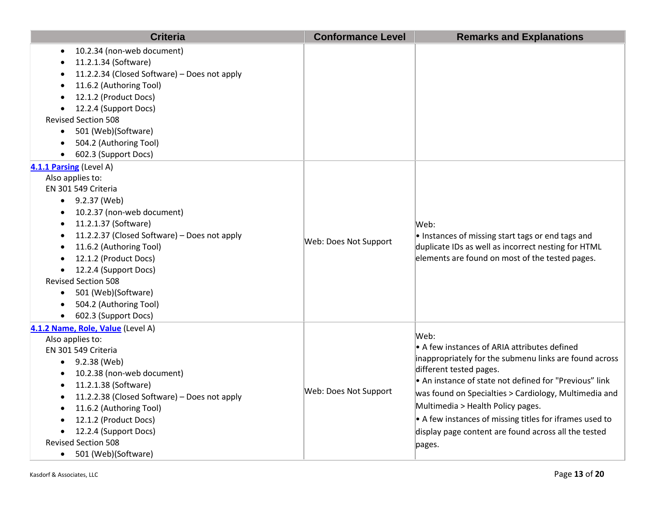| <b>Criteria</b>                                                                                                                                                                                                                                                                                                                                                                                                                                              | <b>Conformance Level</b> | <b>Remarks and Explanations</b>                                                                                                                                                                                                                                                                                                                                                                                                |
|--------------------------------------------------------------------------------------------------------------------------------------------------------------------------------------------------------------------------------------------------------------------------------------------------------------------------------------------------------------------------------------------------------------------------------------------------------------|--------------------------|--------------------------------------------------------------------------------------------------------------------------------------------------------------------------------------------------------------------------------------------------------------------------------------------------------------------------------------------------------------------------------------------------------------------------------|
| 10.2.34 (non-web document)<br>$\bullet$<br>11.2.1.34 (Software)<br>11.2.2.34 (Closed Software) - Does not apply<br>11.6.2 (Authoring Tool)<br>12.1.2 (Product Docs)<br>12.2.4 (Support Docs)<br><b>Revised Section 508</b><br>501 (Web)(Software)<br>$\bullet$<br>504.2 (Authoring Tool)<br>602.3 (Support Docs)                                                                                                                                             |                          |                                                                                                                                                                                                                                                                                                                                                                                                                                |
| 4.1.1 Parsing (Level A)<br>Also applies to:<br>EN 301 549 Criteria<br>$\bullet$ 9.2.37 (Web)<br>10.2.37 (non-web document)<br>$\bullet$<br>11.2.1.37 (Software)<br>٠<br>11.2.2.37 (Closed Software) - Does not apply<br>$\bullet$<br>11.6.2 (Authoring Tool)<br>$\bullet$<br>12.1.2 (Product Docs)<br>12.2.4 (Support Docs)<br><b>Revised Section 508</b><br>501 (Web)(Software)<br>$\bullet$<br>504.2 (Authoring Tool)<br>$\bullet$<br>602.3 (Support Docs) | Web: Does Not Support    | Web:<br>. Instances of missing start tags or end tags and<br>duplicate IDs as well as incorrect nesting for HTML<br>elements are found on most of the tested pages.                                                                                                                                                                                                                                                            |
| 4.1.2 Name, Role, Value (Level A)<br>Also applies to:<br>EN 301 549 Criteria<br>9.2.38 (Web)<br>$\bullet$<br>10.2.38 (non-web document)<br>٠<br>11.2.1.38 (Software)<br>٠<br>11.2.2.38 (Closed Software) - Does not apply<br>$\bullet$<br>11.6.2 (Authoring Tool)<br>$\bullet$<br>12.1.2 (Product Docs)<br>12.2.4 (Support Docs)<br><b>Revised Section 508</b><br>501 (Web)(Software)<br>$\bullet$                                                           | Web: Does Not Support    | Web:<br>• A few instances of ARIA attributes defined<br>inappropriately for the submenu links are found across<br>different tested pages.<br>• An instance of state not defined for "Previous" link<br>was found on Specialties > Cardiology, Multimedia and<br>Multimedia > Health Policy pages.<br>• A few instances of missing titles for iframes used to<br>display page content are found across all the tested<br>pages. |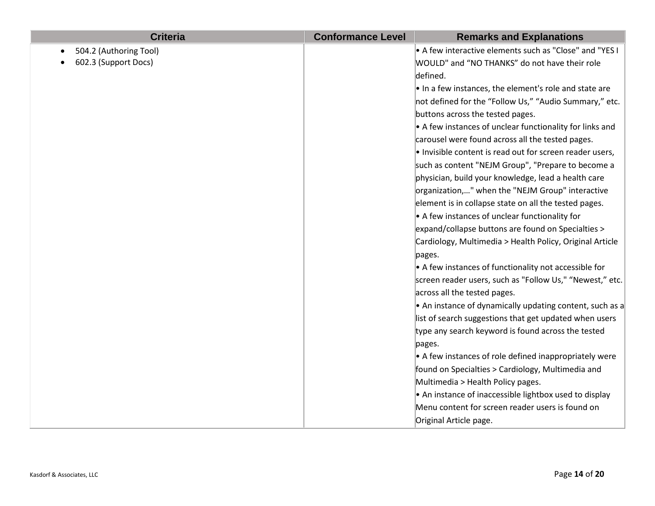| <b>Criteria</b>        | <b>Conformance Level</b> | <b>Remarks and Explanations</b>                                 |
|------------------------|--------------------------|-----------------------------------------------------------------|
| 504.2 (Authoring Tool) |                          | $\bullet$ A few interactive elements such as "Close" and "YES I |
| 602.3 (Support Docs)   |                          | WOULD" and "NO THANKS" do not have their role                   |
|                        |                          | defined.                                                        |
|                        |                          | . In a few instances, the element's role and state are          |
|                        |                          | not defined for the "Follow Us," "Audio Summary," etc.          |
|                        |                          | buttons across the tested pages.                                |
|                        |                          | • A few instances of unclear functionality for links and        |
|                        |                          | carousel were found across all the tested pages.                |
|                        |                          | . Invisible content is read out for screen reader users,        |
|                        |                          | such as content "NEJM Group", "Prepare to become a              |
|                        |                          | physician, build your knowledge, lead a health care             |
|                        |                          | organization," when the "NEJM Group" interactive                |
|                        |                          | element is in collapse state on all the tested pages.           |
|                        |                          | • A few instances of unclear functionality for                  |
|                        |                          | expand/collapse buttons are found on Specialties >              |
|                        |                          | Cardiology, Multimedia > Health Policy, Original Article        |
|                        |                          | pages.                                                          |
|                        |                          | $\bullet$ A few instances of functionality not accessible for   |
|                        |                          | screen reader users, such as "Follow Us," "Newest," etc.        |
|                        |                          | across all the tested pages.                                    |
|                        |                          | • An instance of dynamically updating content, such as a        |
|                        |                          | list of search suggestions that get updated when users          |
|                        |                          | type any search keyword is found across the tested              |
|                        |                          | pages.                                                          |
|                        |                          | • A few instances of role defined inappropriately were          |
|                        |                          | found on Specialties > Cardiology, Multimedia and               |
|                        |                          | Multimedia > Health Policy pages.                               |
|                        |                          | • An instance of inaccessible lightbox used to display          |
|                        |                          | Menu content for screen reader users is found on                |
|                        |                          | Original Article page.                                          |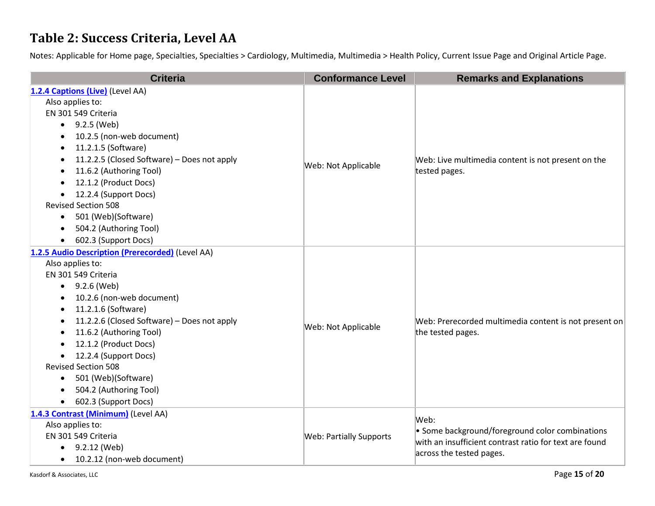#### **Table 2: Success Criteria, Level AA**

Notes: Applicable for Home page, Specialties, Specialties > Cardiology, Multimedia, Multimedia > Health Policy, Current Issue Page and Original Article Page.

| <b>Criteria</b>                                  | <b>Conformance Level</b>       | <b>Remarks and Explanations</b>                                                                                                               |
|--------------------------------------------------|--------------------------------|-----------------------------------------------------------------------------------------------------------------------------------------------|
| 1.2.4 Captions (Live) (Level AA)                 |                                |                                                                                                                                               |
| Also applies to:                                 |                                | Web: Live multimedia content is not present on the<br>tested pages.                                                                           |
| EN 301 549 Criteria                              |                                |                                                                                                                                               |
| 9.2.5 (Web)<br>$\bullet$                         |                                |                                                                                                                                               |
| 10.2.5 (non-web document)                        |                                |                                                                                                                                               |
| 11.2.1.5 (Software)                              |                                |                                                                                                                                               |
| 11.2.2.5 (Closed Software) - Does not apply      | Web: Not Applicable            |                                                                                                                                               |
| 11.6.2 (Authoring Tool)                          |                                |                                                                                                                                               |
| 12.1.2 (Product Docs)                            |                                |                                                                                                                                               |
| 12.2.4 (Support Docs)<br>$\bullet$               |                                |                                                                                                                                               |
| <b>Revised Section 508</b>                       |                                |                                                                                                                                               |
| 501 (Web)(Software)<br>$\bullet$                 |                                |                                                                                                                                               |
| 504.2 (Authoring Tool)                           |                                |                                                                                                                                               |
| 602.3 (Support Docs)                             |                                |                                                                                                                                               |
| 1.2.5 Audio Description (Prerecorded) (Level AA) |                                | Web: Prerecorded multimedia content is not present on<br>the tested pages.                                                                    |
| Also applies to:                                 |                                |                                                                                                                                               |
| EN 301 549 Criteria                              |                                |                                                                                                                                               |
| 9.2.6 (Web)                                      |                                |                                                                                                                                               |
| 10.2.6 (non-web document)                        |                                |                                                                                                                                               |
| 11.2.1.6 (Software)                              |                                |                                                                                                                                               |
| 11.2.2.6 (Closed Software) - Does not apply      | Web: Not Applicable            |                                                                                                                                               |
| 11.6.2 (Authoring Tool)                          |                                |                                                                                                                                               |
| 12.1.2 (Product Docs)                            |                                |                                                                                                                                               |
| 12.2.4 (Support Docs)                            |                                |                                                                                                                                               |
| <b>Revised Section 508</b>                       |                                |                                                                                                                                               |
| 501 (Web)(Software)<br>$\bullet$                 |                                |                                                                                                                                               |
| 504.2 (Authoring Tool)                           |                                |                                                                                                                                               |
| 602.3 (Support Docs)                             |                                |                                                                                                                                               |
| 1.4.3 Contrast (Minimum) (Level AA)              |                                | Web:<br>• Some background/foreground color combinations<br>with an insufficient contrast ratio for text are found<br>across the tested pages. |
| Also applies to:                                 |                                |                                                                                                                                               |
| EN 301 549 Criteria                              | <b>Web: Partially Supports</b> |                                                                                                                                               |
| 9.2.12 (Web)<br>$\bullet$                        |                                |                                                                                                                                               |
| 10.2.12 (non-web document)                       |                                |                                                                                                                                               |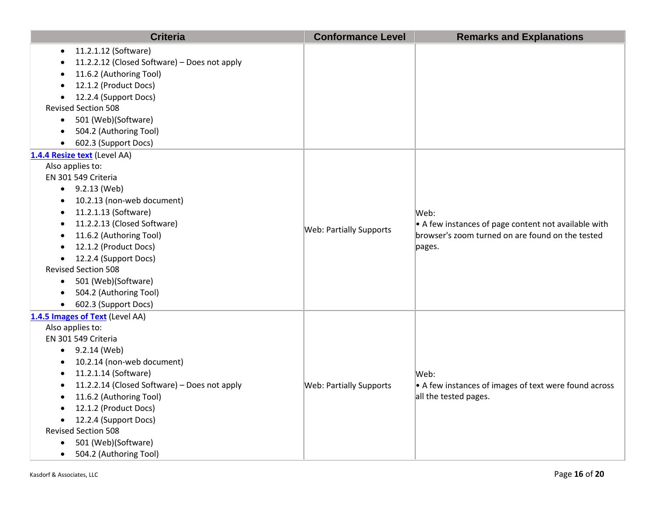| <b>Criteria</b>                                           | <b>Conformance Level</b>       | <b>Remarks and Explanations</b>                                                                                            |
|-----------------------------------------------------------|--------------------------------|----------------------------------------------------------------------------------------------------------------------------|
| 11.2.1.12 (Software)<br>$\bullet$                         |                                |                                                                                                                            |
| 11.2.2.12 (Closed Software) - Does not apply<br>$\bullet$ |                                |                                                                                                                            |
| 11.6.2 (Authoring Tool)                                   |                                |                                                                                                                            |
| 12.1.2 (Product Docs)<br>$\bullet$                        |                                |                                                                                                                            |
| • 12.2.4 (Support Docs)                                   |                                |                                                                                                                            |
| <b>Revised Section 508</b>                                |                                |                                                                                                                            |
| • 501 (Web)(Software)                                     |                                |                                                                                                                            |
| 504.2 (Authoring Tool)<br>$\bullet$                       |                                |                                                                                                                            |
| • 602.3 (Support Docs)                                    |                                |                                                                                                                            |
| 1.4.4 Resize text (Level AA)                              |                                |                                                                                                                            |
| Also applies to:                                          |                                |                                                                                                                            |
| EN 301 549 Criteria                                       |                                |                                                                                                                            |
| $\bullet$ 9.2.13 (Web)                                    |                                | Web:<br>• A few instances of page content not available with<br>browser's zoom turned on are found on the tested<br>pages. |
| 10.2.13 (non-web document)<br>$\bullet$                   |                                |                                                                                                                            |
| 11.2.1.13 (Software)<br>$\bullet$                         |                                |                                                                                                                            |
| 11.2.2.13 (Closed Software)                               | <b>Web: Partially Supports</b> |                                                                                                                            |
| 11.6.2 (Authoring Tool)                                   |                                |                                                                                                                            |
| 12.1.2 (Product Docs)                                     |                                |                                                                                                                            |
| • 12.2.4 (Support Docs)                                   |                                |                                                                                                                            |
| <b>Revised Section 508</b>                                |                                |                                                                                                                            |
| • 501 (Web)(Software)                                     |                                |                                                                                                                            |
| 504.2 (Authoring Tool)<br>$\bullet$                       |                                |                                                                                                                            |
| • 602.3 (Support Docs)                                    |                                |                                                                                                                            |
| 1.4.5 Images of Text (Level AA)                           |                                |                                                                                                                            |
| Also applies to:                                          |                                | Web:                                                                                                                       |
| EN 301 549 Criteria                                       |                                |                                                                                                                            |
| $\bullet$ 9.2.14 (Web)                                    |                                |                                                                                                                            |
| 10.2.14 (non-web document)<br>$\bullet$                   |                                |                                                                                                                            |
| 11.2.1.14 (Software)<br>$\bullet$                         |                                |                                                                                                                            |
| 11.2.2.14 (Closed Software) - Does not apply              | <b>Web: Partially Supports</b> | $\bullet$ A few instances of images of text were found across                                                              |
| 11.6.2 (Authoring Tool)                                   |                                | all the tested pages.                                                                                                      |
| 12.1.2 (Product Docs)                                     |                                |                                                                                                                            |
| 12.2.4 (Support Docs)                                     |                                |                                                                                                                            |
| <b>Revised Section 508</b>                                |                                |                                                                                                                            |
| 501 (Web)(Software)<br>$\bullet$                          |                                |                                                                                                                            |
| 504.2 (Authoring Tool)<br>$\bullet$                       |                                |                                                                                                                            |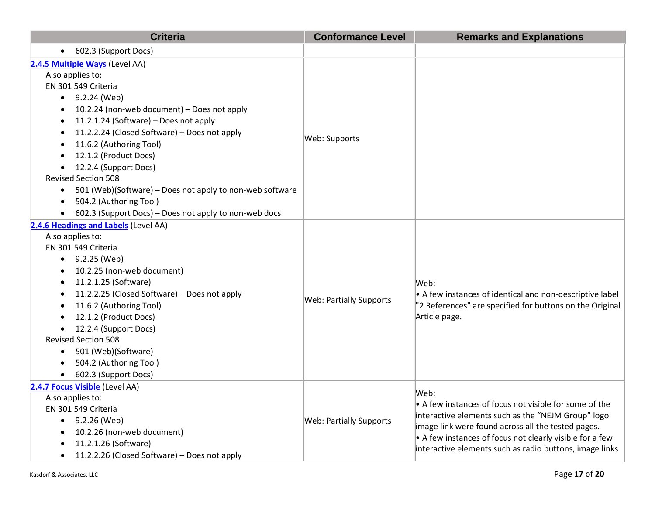| <b>Criteria</b>                                                                                                                                                                                                                                                                                                                                                                                                                                                                                                          | <b>Conformance Level</b>       | <b>Remarks and Explanations</b>                                                                                                                                                                                                                                                                                   |
|--------------------------------------------------------------------------------------------------------------------------------------------------------------------------------------------------------------------------------------------------------------------------------------------------------------------------------------------------------------------------------------------------------------------------------------------------------------------------------------------------------------------------|--------------------------------|-------------------------------------------------------------------------------------------------------------------------------------------------------------------------------------------------------------------------------------------------------------------------------------------------------------------|
| 602.3 (Support Docs)<br>$\bullet$                                                                                                                                                                                                                                                                                                                                                                                                                                                                                        |                                |                                                                                                                                                                                                                                                                                                                   |
| 2.4.5 Multiple Ways (Level AA)<br>Also applies to:<br>EN 301 549 Criteria<br>$-9.2.24$ (Web)<br>10.2.24 (non-web document) - Does not apply<br>11.2.1.24 (Software) - Does not apply<br>11.2.2.24 (Closed Software) - Does not apply<br>11.6.2 (Authoring Tool)<br>12.1.2 (Product Docs)<br>12.2.4 (Support Docs)<br>$\bullet$<br><b>Revised Section 508</b><br>501 (Web)(Software) – Does not apply to non-web software<br>$\bullet$<br>504.2 (Authoring Tool)<br>602.3 (Support Docs) - Does not apply to non-web docs | Web: Supports                  |                                                                                                                                                                                                                                                                                                                   |
| 2.4.6 Headings and Labels (Level AA)<br>Also applies to:<br>EN 301 549 Criteria<br>$-9.2.25$ (Web)<br>10.2.25 (non-web document)<br>11.2.1.25 (Software)<br>11.2.2.25 (Closed Software) - Does not apply<br>11.6.2 (Authoring Tool)<br>12.1.2 (Product Docs)<br>12.2.4 (Support Docs)<br><b>Revised Section 508</b><br>501 (Web)(Software)<br>$\bullet$<br>504.2 (Authoring Tool)<br>$\bullet$<br>602.3 (Support Docs)                                                                                                   | <b>Web: Partially Supports</b> | Web:<br>• A few instances of identical and non-descriptive label<br>"2 References" are specified for buttons on the Original<br>Article page.                                                                                                                                                                     |
| 2.4.7 Focus Visible (Level AA)<br>Also applies to:<br>EN 301 549 Criteria<br>9.2.26 (Web)<br>$\bullet$<br>10.2.26 (non-web document)<br>11.2.1.26 (Software)<br>11.2.2.26 (Closed Software) – Does not apply<br>$\bullet$                                                                                                                                                                                                                                                                                                | <b>Web: Partially Supports</b> | Web:<br>$\bullet$ A few instances of focus not visible for some of the<br>interactive elements such as the "NEJM Group" logo<br>image link were found across all the tested pages.<br>$\bullet$ A few instances of focus not clearly visible for a few<br>interactive elements such as radio buttons, image links |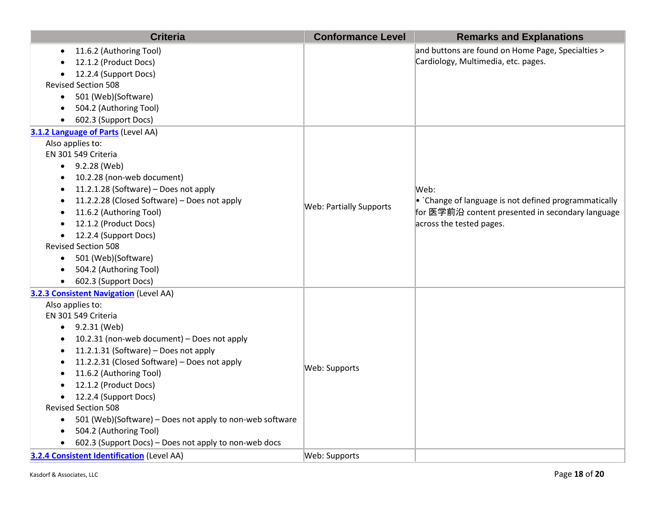| <b>Criteria</b>                                                                                                                                                                                                                                                                                                                                                                                                                                                                                                                                                                                                                                  | <b>Conformance Level</b>       | <b>Remarks and Explanations</b>                                                                                                               |
|--------------------------------------------------------------------------------------------------------------------------------------------------------------------------------------------------------------------------------------------------------------------------------------------------------------------------------------------------------------------------------------------------------------------------------------------------------------------------------------------------------------------------------------------------------------------------------------------------------------------------------------------------|--------------------------------|-----------------------------------------------------------------------------------------------------------------------------------------------|
| 11.6.2 (Authoring Tool)<br>$\bullet$<br>12.1.2 (Product Docs)<br>12.2.4 (Support Docs)<br><b>Revised Section 508</b><br>• 501 (Web)(Software)<br>504.2 (Authoring Tool)<br>602.3 (Support Docs)                                                                                                                                                                                                                                                                                                                                                                                                                                                  |                                | and buttons are found on Home Page, Specialties ><br>Cardiology, Multimedia, etc. pages.                                                      |
| 3.1.2 Language of Parts (Level AA)                                                                                                                                                                                                                                                                                                                                                                                                                                                                                                                                                                                                               |                                |                                                                                                                                               |
| Also applies to:<br>EN 301 549 Criteria<br>$-9.2.28$ (Web)<br>10.2.28 (non-web document)<br>$\bullet$<br>11.2.1.28 (Software) - Does not apply<br>$\bullet$<br>11.2.2.28 (Closed Software) - Does not apply<br>$\bullet$<br>11.6.2 (Authoring Tool)<br>12.1.2 (Product Docs)<br>12.2.4 (Support Docs)<br>$\bullet$<br><b>Revised Section 508</b><br>• 501 (Web)(Software)<br>504.2 (Authoring Tool)<br>602.3 (Support Docs)                                                                                                                                                                                                                      | <b>Web: Partially Supports</b> | Web:<br>• `Change of language is not defined programmatically<br>for 医学前沿 content presented in secondary language<br>across the tested pages. |
| <b>3.2.3 Consistent Navigation (Level AA)</b><br>Also applies to:<br>EN 301 549 Criteria<br>$-9.2.31$ (Web)<br>10.2.31 (non-web document) - Does not apply<br>$\bullet$<br>11.2.1.31 (Software) - Does not apply<br>$\bullet$<br>11.2.2.31 (Closed Software) - Does not apply<br>11.6.2 (Authoring Tool)<br>$\bullet$<br>12.1.2 (Product Docs)<br>12.2.4 (Support Docs)<br>$\bullet$<br><b>Revised Section 508</b><br>501 (Web)(Software) - Does not apply to non-web software<br>$\bullet$<br>504.2 (Authoring Tool)<br>$\bullet$<br>602.3 (Support Docs) - Does not apply to non-web docs<br><b>3.2.4 Consistent Identification (Level AA)</b> | Web: Supports<br>Web: Supports |                                                                                                                                               |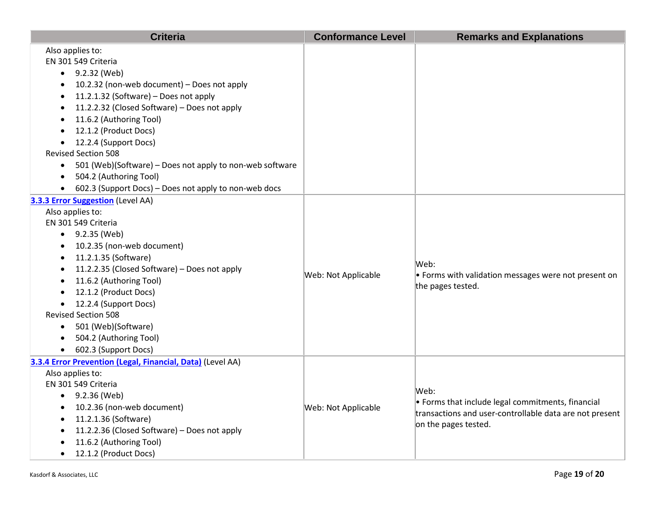| <b>Criteria</b>                                                       | <b>Conformance Level</b> | <b>Remarks and Explanations</b>                                      |
|-----------------------------------------------------------------------|--------------------------|----------------------------------------------------------------------|
| Also applies to:                                                      |                          |                                                                      |
| EN 301 549 Criteria                                                   |                          |                                                                      |
| $\bullet$ 9.2.32 (Web)                                                |                          |                                                                      |
| 10.2.32 (non-web document) - Does not apply<br>$\bullet$              |                          |                                                                      |
| 11.2.1.32 (Software) - Does not apply<br>$\bullet$                    |                          |                                                                      |
| 11.2.2.32 (Closed Software) - Does not apply<br>$\bullet$             |                          |                                                                      |
| 11.6.2 (Authoring Tool)                                               |                          |                                                                      |
| 12.1.2 (Product Docs)                                                 |                          |                                                                      |
| 12.2.4 (Support Docs)<br>$\bullet$                                    |                          |                                                                      |
| <b>Revised Section 508</b>                                            |                          |                                                                      |
| 501 (Web)(Software) - Does not apply to non-web software<br>$\bullet$ |                          |                                                                      |
| 504.2 (Authoring Tool)<br>$\bullet$                                   |                          |                                                                      |
| 602.3 (Support Docs) - Does not apply to non-web docs                 |                          |                                                                      |
| <b>3.3.3 Error Suggestion</b> (Level AA)                              |                          |                                                                      |
| Also applies to:                                                      |                          |                                                                      |
| EN 301 549 Criteria                                                   |                          |                                                                      |
| $\bullet$ 9.2.35 (Web)                                                |                          |                                                                      |
| 10.2.35 (non-web document)<br>$\bullet$                               |                          |                                                                      |
| 11.2.1.35 (Software)<br>$\bullet$                                     | Web: Not Applicable      | Web:<br>$\bullet$ Forms with validation messages were not present on |
| 11.2.2.35 (Closed Software) - Does not apply<br>$\bullet$             |                          |                                                                      |
| 11.6.2 (Authoring Tool)<br>$\bullet$                                  |                          | the pages tested.                                                    |
| 12.1.2 (Product Docs)                                                 |                          |                                                                      |
| • 12.2.4 (Support Docs)                                               |                          |                                                                      |
| <b>Revised Section 508</b>                                            |                          |                                                                      |
| • 501 (Web)(Software)                                                 |                          |                                                                      |
| 504.2 (Authoring Tool)<br>$\bullet$                                   |                          |                                                                      |
| 602.3 (Support Docs)                                                  |                          |                                                                      |
| 3.3.4 Error Prevention (Legal, Financial, Data) (Level AA)            |                          |                                                                      |
| Also applies to:                                                      |                          |                                                                      |
| EN 301 549 Criteria                                                   |                          | Web:<br>$\bullet$ Forms that include legal commitments, financial    |
| $-9.2.36$ (Web)                                                       |                          |                                                                      |
| 10.2.36 (non-web document)<br>$\bullet$                               | Web: Not Applicable      | transactions and user-controllable data are not present              |
| 11.2.1.36 (Software)<br>$\bullet$                                     |                          | on the pages tested.                                                 |
| 11.2.2.36 (Closed Software) - Does not apply                          |                          |                                                                      |
| 11.6.2 (Authoring Tool)                                               |                          |                                                                      |
| 12.1.2 (Product Docs)<br>$\bullet$                                    |                          |                                                                      |